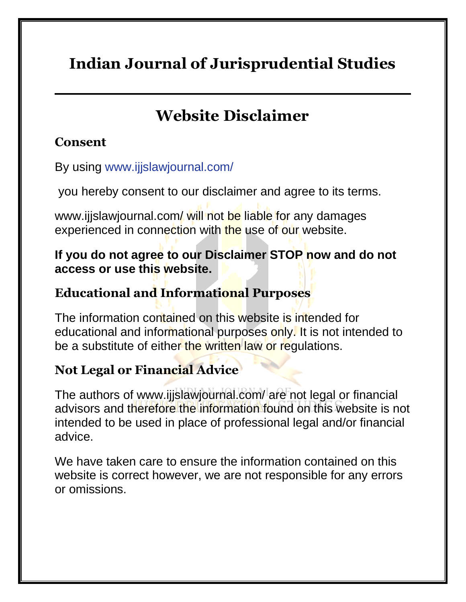# **Indian Journal of Jurisprudential Studies**

# **Website Disclaimer**

### **Consent**

By using [www.ijjslawjournal.com/](https://www.ijjslawjournal.com/)

you hereby consent to our disclaimer and agree to its terms.

www.ijjslawjournal.com/ will not be liable for any damages experienced in connection with the use of our website.

#### **If you do not agree to our Disclaimer STOP now and do not access or use this website.**

### **Educational and Informational Purposes**

The information contained on this website is intended for educational and informational purposes only. It is not intended to be a substitute of either the written law or regulations.

## **Not Legal or Financial Advice**

The authors of www.ijjslawjournal.com/ are not legal or financial advisors and therefore the information found on this website is not intended to be used in place of professional legal and/or financial advice.

We have taken care to ensure the information contained on this website is correct however, we are not responsible for any errors or omissions.